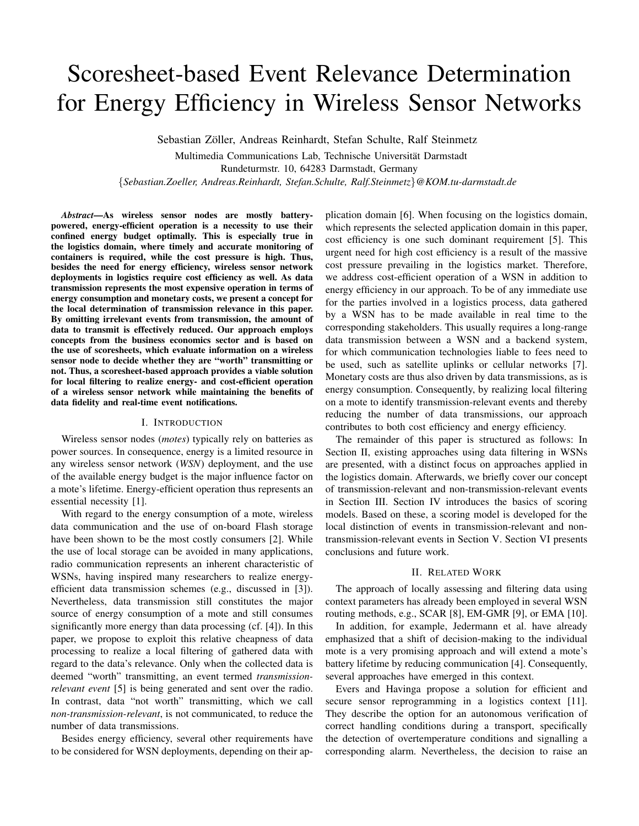# Scoresheet-based Event Relevance Determination for Energy Efficiency in Wireless Sensor Networks

Sebastian Zöller, Andreas Reinhardt, Stefan Schulte, Ralf Steinmetz

Multimedia Communications Lab, Technische Universitat Darmstadt ¨ Rundeturmstr. 10, 64283 Darmstadt, Germany

{*Sebastian.Zoeller, Andreas.Reinhardt, Stefan.Schulte, Ralf.Steinmetz*}*@KOM.tu-darmstadt.de*

*Abstract*—As wireless sensor nodes are mostly batterypowered, energy-efficient operation is a necessity to use their confined energy budget optimally. This is especially true in the logistics domain, where timely and accurate monitoring of containers is required, while the cost pressure is high. Thus, besides the need for energy efficiency, wireless sensor network deployments in logistics require cost efficiency as well. As data transmission represents the most expensive operation in terms of energy consumption and monetary costs, we present a concept for the local determination of transmission relevance in this paper. By omitting irrelevant events from transmission, the amount of data to transmit is effectively reduced. Our approach employs concepts from the business economics sector and is based on the use of scoresheets, which evaluate information on a wireless sensor node to decide whether they are "worth" transmitting or not. Thus, a scoresheet-based approach provides a viable solution for local filtering to realize energy- and cost-efficient operation of a wireless sensor network while maintaining the benefits of data fidelity and real-time event notifications.

#### I. INTRODUCTION

Wireless sensor nodes (*motes*) typically rely on batteries as power sources. In consequence, energy is a limited resource in any wireless sensor network (*WSN*) deployment, and the use of the available energy budget is the major influence factor on a mote's lifetime. Energy-efficient operation thus represents an essential necessity [1].

With regard to the energy consumption of a mote, wireless data communication and the use of on-board Flash storage have been shown to be the most costly consumers [2]. While the use of local storage can be avoided in many applications, radio communication represents an inherent characteristic of WSNs, having inspired many researchers to realize energyefficient data transmission schemes (e.g., discussed in [3]). Nevertheless, data transmission still constitutes the major source of energy consumption of a mote and still consumes significantly more energy than data processing (cf. [4]). In this paper, we propose to exploit this relative cheapness of data processing to realize a local filtering of gathered data with regard to the data's relevance. Only when the collected data is deemed "worth" transmitting, an event termed *transmissionrelevant event* [5] is being generated and sent over the radio. In contrast, data "not worth" transmitting, which we call *non-transmission-relevant*, is not communicated, to reduce the number of data transmissions.

Besides energy efficiency, several other requirements have to be considered for WSN deployments, depending on their application domain [6]. When focusing on the logistics domain, which represents the selected application domain in this paper, cost efficiency is one such dominant requirement [5]. This urgent need for high cost efficiency is a result of the massive cost pressure prevailing in the logistics market. Therefore, we address cost-efficient operation of a WSN in addition to energy efficiency in our approach. To be of any immediate use for the parties involved in a logistics process, data gathered by a WSN has to be made available in real time to the corresponding stakeholders. This usually requires a long-range data transmission between a WSN and a backend system, for which communication technologies liable to fees need to be used, such as satellite uplinks or cellular networks [7]. Monetary costs are thus also driven by data transmissions, as is energy consumption. Consequently, by realizing local filtering on a mote to identify transmission-relevant events and thereby reducing the number of data transmissions, our approach contributes to both cost efficiency and energy efficiency.

The remainder of this paper is structured as follows: In Section II, existing approaches using data filtering in WSNs are presented, with a distinct focus on approaches applied in the logistics domain. Afterwards, we briefly cover our concept of transmission-relevant and non-transmission-relevant events in Section III. Section IV introduces the basics of scoring models. Based on these, a scoring model is developed for the local distinction of events in transmission-relevant and nontransmission-relevant events in Section V. Section VI presents conclusions and future work.

#### II. RELATED WORK

The approach of locally assessing and filtering data using context parameters has already been employed in several WSN routing methods, e.g., SCAR [8], EM-GMR [9], or EMA [10].

In addition, for example, Jedermann et al. have already emphasized that a shift of decision-making to the individual mote is a very promising approach and will extend a mote's battery lifetime by reducing communication [4]. Consequently, several approaches have emerged in this context.

Evers and Havinga propose a solution for efficient and secure sensor reprogramming in a logistics context [11]. They describe the option for an autonomous verification of correct handling conditions during a transport, specifically the detection of overtemperature conditions and signalling a corresponding alarm. Nevertheless, the decision to raise an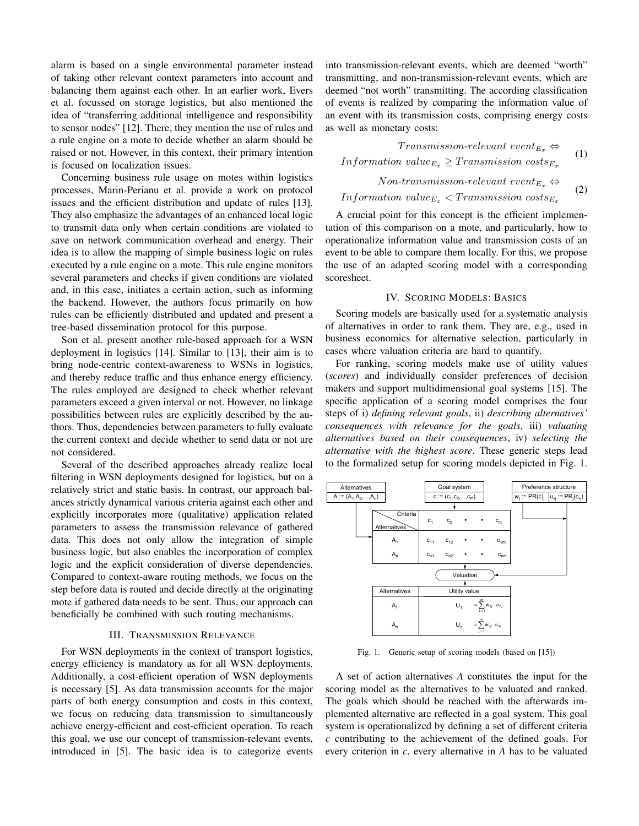alarm is based on a single environmental parameter instead of taking other relevant context parameters into account and balancing them against each other. In an earlier work, Evers et al. focussed on storage logistics, but also mentioned the idea of "transferring additional intelligence and responsibility to sensor nodes" [12]. There, they mention the use of rules and a rule engine on a mote to decide whether an alarm should be raised or not. However, in this context, their primary intention is focused on localization issues.

Concerning business rule usage on motes within logistics processes, Marin-Perianu et al. provide a work on protocol issues and the efficient distribution and update of rules [13]. They also emphasize the advantages of an enhanced local logic to transmit data only when certain conditions are violated to save on network communication overhead and energy. Their idea is to allow the mapping of simple business logic on rules executed by a rule engine on a mote. This rule engine monitors several parameters and checks if given conditions are violated and, in this case, initiates a certain action, such as informing the backend. However, the authors focus primarily on how rules can be efficiently distributed and updated and present a tree-based dissemination protocol for this purpose.

Son et al. present another rule-based approach for a WSN deployment in logistics [14]. Similar to [13], their aim is to bring node-centric context-awareness to WSNs in logistics, and thereby reduce traffic and thus enhance energy efficiency. The rules employed are designed to check whether relevant parameters exceed a given interval or not. However, no linkage possibilities between rules are explicitly described by the authors. Thus, dependencies between parameters to fully evaluate the current context and decide whether to send data or not are not considered.

Several of the described approaches already realize local filtering in WSN deployments designed for logistics, but on a relatively strict and static basis. In contrast, our approach balances strictly dynamical various criteria against each other and explicitly incorporates more (qualitative) application related parameters to assess the transmission relevance of gathered data. This does not only allow the integration of simple business logic, but also enables the incorporation of complex logic and the explicit consideration of diverse dependencies. Compared to context-aware routing methods, we focus on the step before data is routed and decide directly at the originating mote if gathered data needs to be sent. Thus, our approach can beneficially be combined with such routing mechanisms.

## III. TRANSMISSION RELEVANCE

For WSN deployments in the context of transport logistics, energy efficiency is mandatory as for all WSN deployments. Additionally, a cost-efficient operation of WSN deployments is necessary [5]. As data transmission accounts for the major parts of both energy consumption and costs in this context, we focus on reducing data transmission to simultaneously achieve energy-efficient and cost-efficient operation. To reach this goal, we use our concept of transmission-relevant events, introduced in [5]. The basic idea is to categorize events into transmission-relevant events, which are deemed "worth" transmitting, and non-transmission-relevant events, which are deemed "not worth" transmitting. The according classification of events is realized by comparing the information value of an event with its transmission costs, comprising energy costs as well as monetary costs:

$$
Transmission-relevant event  $E_x \Leftrightarrow$   
Information value  $E_x \geq$  Transmission costs $E_x$   
Non transmission relevant event =  $\Leftrightarrow$
$$

$$
Information value_{E_x} < Transmission\ cost_{E_x} \tag{2}
$$
\n
$$
Information value_{E_x} < Transmission\ costs_{E_x}
$$

A crucial point for this concept is the efficient implementation of this comparison on a mote, and particularly, how to operationalize information value and transmission costs of an event to be able to compare them locally. For this, we propose the use of an adapted scoring model with a corresponding scoresheet.

## IV. SCORING MODELS: BASICS

Scoring models are basically used for a systematic analysis of alternatives in order to rank them. They are, e.g., used in business economics for alternative selection, particularly in cases where valuation criteria are hard to quantify.

For ranking, scoring models make use of utility values (*scores*) and individually consider preferences of decision makers and support multidimensional goal systems [15]. The specific application of a scoring model comprises the four steps of i) *defining relevant goals*, ii) *describing alternatives' consequences with relevance for the goals*, iii) *valuating alternatives based on their consequences*, iv) *selecting the alternative with the highest score*. These generic steps lead to the formalized setup for scoring models depicted in Fig. 1.



Fig. 1. Generic setup of scoring models (based on [15])

A set of action alternatives *A* constitutes the input for the scoring model as the alternatives to be valuated and ranked. The goals which should be reached with the afterwards implemented alternative are reflected in a goal system. This goal system is operationalized by defining a set of different criteria *c* contributing to the achievement of the defined goals. For every criterion in *c*, every alternative in *A* has to be valuated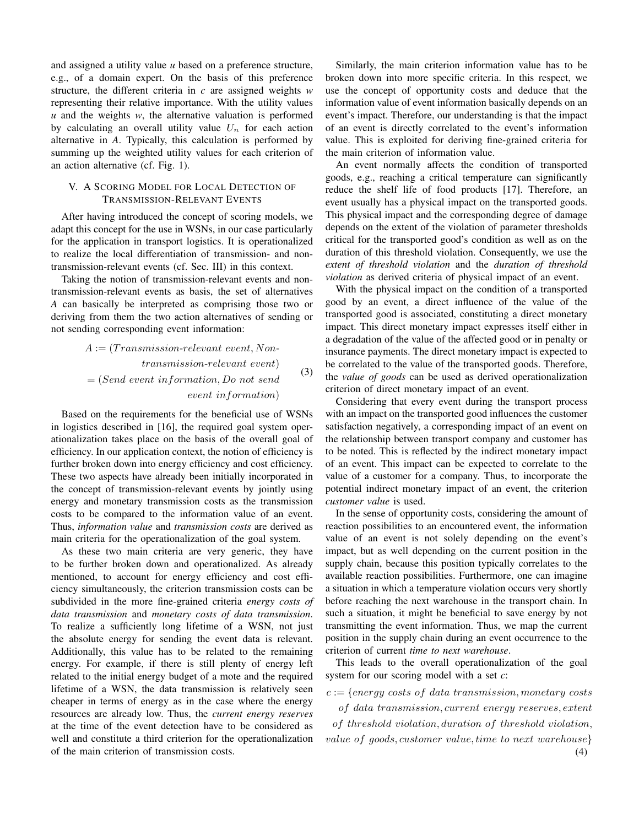and assigned a utility value *u* based on a preference structure, e.g., of a domain expert. On the basis of this preference structure, the different criteria in *c* are assigned weights *w* representing their relative importance. With the utility values *u* and the weights *w*, the alternative valuation is performed by calculating an overall utility value  $U_n$  for each action alternative in *A*. Typically, this calculation is performed by summing up the weighted utility values for each criterion of an action alternative (cf. Fig. 1).

# V. A SCORING MODEL FOR LOCAL DETECTION OF TRANSMISSION-RELEVANT EVENTS

After having introduced the concept of scoring models, we adapt this concept for the use in WSNs, in our case particularly for the application in transport logistics. It is operationalized to realize the local differentiation of transmission- and nontransmission-relevant events (cf. Sec. III) in this context.

Taking the notion of transmission-relevant events and nontransmission-relevant events as basis, the set of alternatives *A* can basically be interpreted as comprising those two or deriving from them the two action alternatives of sending or not sending corresponding event information:

> $A := (Transmission-relevant event, Non$ transmission-relevant event)  $= (Send event information, Do not send)$ event information) (3)

Based on the requirements for the beneficial use of WSNs in logistics described in [16], the required goal system operationalization takes place on the basis of the overall goal of efficiency. In our application context, the notion of efficiency is further broken down into energy efficiency and cost efficiency. These two aspects have already been initially incorporated in the concept of transmission-relevant events by jointly using energy and monetary transmission costs as the transmission costs to be compared to the information value of an event. Thus, *information value* and *transmission costs* are derived as main criteria for the operationalization of the goal system.

As these two main criteria are very generic, they have to be further broken down and operationalized. As already mentioned, to account for energy efficiency and cost efficiency simultaneously, the criterion transmission costs can be subdivided in the more fine-grained criteria *energy costs of data transmission* and *monetary costs of data transmission*. To realize a sufficiently long lifetime of a WSN, not just the absolute energy for sending the event data is relevant. Additionally, this value has to be related to the remaining energy. For example, if there is still plenty of energy left related to the initial energy budget of a mote and the required lifetime of a WSN, the data transmission is relatively seen cheaper in terms of energy as in the case where the energy resources are already low. Thus, the *current energy reserves* at the time of the event detection have to be considered as well and constitute a third criterion for the operationalization of the main criterion of transmission costs.

Similarly, the main criterion information value has to be broken down into more specific criteria. In this respect, we use the concept of opportunity costs and deduce that the information value of event information basically depends on an event's impact. Therefore, our understanding is that the impact of an event is directly correlated to the event's information value. This is exploited for deriving fine-grained criteria for the main criterion of information value.

An event normally affects the condition of transported goods, e.g., reaching a critical temperature can significantly reduce the shelf life of food products [17]. Therefore, an event usually has a physical impact on the transported goods. This physical impact and the corresponding degree of damage depends on the extent of the violation of parameter thresholds critical for the transported good's condition as well as on the duration of this threshold violation. Consequently, we use the *extent of threshold violation* and the *duration of threshold violation* as derived criteria of physical impact of an event.

With the physical impact on the condition of a transported good by an event, a direct influence of the value of the transported good is associated, constituting a direct monetary impact. This direct monetary impact expresses itself either in a degradation of the value of the affected good or in penalty or insurance payments. The direct monetary impact is expected to be correlated to the value of the transported goods. Therefore, the *value of goods* can be used as derived operationalization criterion of direct monetary impact of an event.

Considering that every event during the transport process with an impact on the transported good influences the customer satisfaction negatively, a corresponding impact of an event on the relationship between transport company and customer has to be noted. This is reflected by the indirect monetary impact of an event. This impact can be expected to correlate to the value of a customer for a company. Thus, to incorporate the potential indirect monetary impact of an event, the criterion *customer value* is used.

In the sense of opportunity costs, considering the amount of reaction possibilities to an encountered event, the information value of an event is not solely depending on the event's impact, but as well depending on the current position in the supply chain, because this position typically correlates to the available reaction possibilities. Furthermore, one can imagine a situation in which a temperature violation occurs very shortly before reaching the next warehouse in the transport chain. In such a situation, it might be beneficial to save energy by not transmitting the event information. Thus, we map the current position in the supply chain during an event occurrence to the criterion of current *time to next warehouse*.

This leads to the overall operationalization of the goal system for our scoring model with a set *c*:

 $c := \{energy \ costs \ of \ data \ transmission, monetary \ costs$ 

of data transmission, current energy reserves, extent

of threshold violation, duration of threshold violation, value of goods, customer value, time to next warehouse} (4)